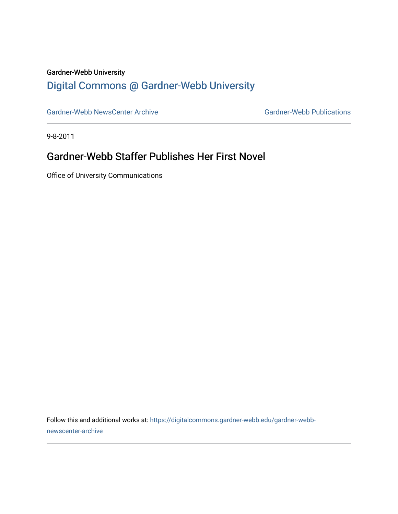### Gardner-Webb University

## [Digital Commons @ Gardner-Webb University](https://digitalcommons.gardner-webb.edu/)

[Gardner-Webb NewsCenter Archive](https://digitalcommons.gardner-webb.edu/gardner-webb-newscenter-archive) Gardner-Webb Publications

9-8-2011

### Gardner-Webb Staffer Publishes Her First Novel

Office of University Communications

Follow this and additional works at: [https://digitalcommons.gardner-webb.edu/gardner-webb](https://digitalcommons.gardner-webb.edu/gardner-webb-newscenter-archive?utm_source=digitalcommons.gardner-webb.edu%2Fgardner-webb-newscenter-archive%2F2020&utm_medium=PDF&utm_campaign=PDFCoverPages)[newscenter-archive](https://digitalcommons.gardner-webb.edu/gardner-webb-newscenter-archive?utm_source=digitalcommons.gardner-webb.edu%2Fgardner-webb-newscenter-archive%2F2020&utm_medium=PDF&utm_campaign=PDFCoverPages)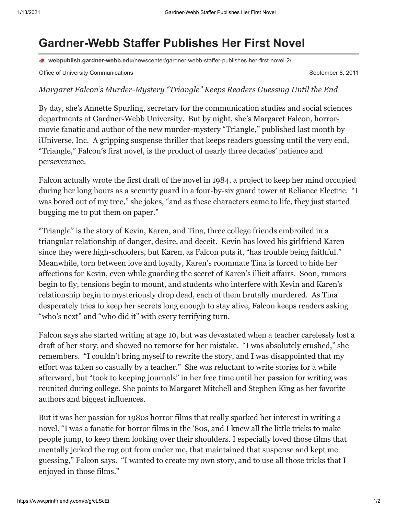# **Gardner-Webb Staffer Publishes Her First Novel**

**webpublish.gardner-webb.edu**[/newscenter/gardner-webb-staffer-publishes-her-first-novel-2/](https://webpublish.gardner-webb.edu/newscenter/gardner-webb-staffer-publishes-her-first-novel-2/)

Office of University Communications **September 8, 2011** September 8, 2011

#### *Margaret Falcon's Murder-Mystery "Triangle" Keeps Readers Guessing Until the End*

By day, she's Annette Spurling, secretary for the communication studies and social sciences departments at Gardner-Webb University. But by night, she's Margaret Falcon, horrormovie fanatic and author of the new murder-mystery "Triangle," published last month by iUniverse, Inc. A gripping suspense thriller that keeps readers guessing until the very end, "Triangle," Falcon's first novel, is the product of nearly three decades' patience and perseverance.

Falcon actually wrote the first draft of the novel in 1984, a project to keep her mind occupied during her long hours as a security guard in a four-by-six guard tower at Reliance Electric. "I was bored out of my tree," she jokes, "and as these characters came to life, they just started bugging me to put them on paper."

"Triangle" is the story of Kevin, Karen, and Tina, three college friends embroiled in a triangular relationship of danger, desire, and deceit. Kevin has loved his girlfriend Karen since they were high-schoolers, but Karen, as Falcon puts it, "has trouble being faithful." Meanwhile, torn between love and loyalty, Karen's roommate Tina is forced to hide her affections for Kevin, even while guarding the secret of Karen's illicit affairs. Soon, rumors begin to fly, tensions begin to mount, and students who interfere with Kevin and Karen's relationship begin to mysteriously drop dead, each of them brutally murdered. As Tina desperately tries to keep her secrets long enough to stay alive, Falcon keeps readers asking "who's next" and "who did it" with every terrifying turn.

Falcon says she started writing at age 10, but was devastated when a teacher carelessly lost a draft of her story, and showed no remorse for her mistake. "I was absolutely crushed," she remembers. "I couldn't bring myself to rewrite the story, and I was disappointed that my effort was taken so casually by a teacher." She was reluctant to write stories for a while afterward, but "took to keeping journals" in her free time until her passion for writing was reunited during college. She points to Margaret Mitchell and Stephen King as her favorite authors and biggest influences.

But it was her passion for 1980s horror films that really sparked her interest in writing a novel. "I was a fanatic for horror films in the '80s, and I knew all the little tricks to make people jump, to keep them looking over their shoulders. I especially loved those films that mentally jerked the rug out from under me, that maintained that suspense and kept me guessing," Falcon says. "I wanted to create my own story, and to use all those tricks that I enjoyed in those films."